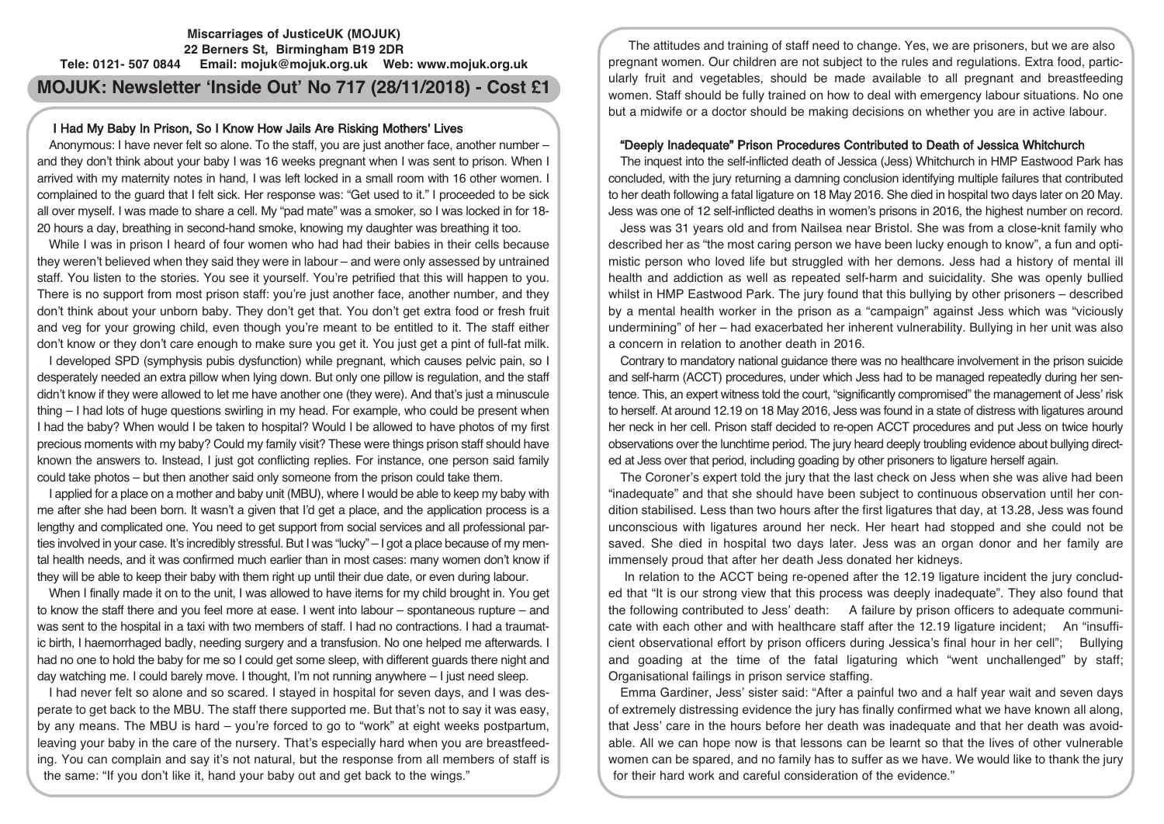# **Miscarriages of JusticeUK (MOJUK) 22 Berners St, Birmingham B19 2DR Tele: 0121- 507 0844 Email: mojuk@mojuk.org.uk Web: www.mojuk.org.uk**

# **MOJUK: Newsletter 'Inside Out' No 717 (28/11/2018) - Cost £1**

# I Had My Baby In Prison, So I Know How Jails Are Risking Mothers' Lives

Anonymous: I have never felt so alone. To the staff, you are just another face, another number – and they don't think about your baby I was 16 weeks pregnant when I was sent to prison. When I arrived with my maternity notes in hand, I was left locked in a small room with 16 other women. I complained to the guard that I felt sick. Her response was: "Get used to it." I proceeded to be sick all over myself. I was made to share a cell. My "pad mate" was a smoker, so I was locked in for 18- 20 hours a day, breathing in second-hand smoke, knowing my daughter was breathing it too.

While I was in prison I heard of four women who had had their babies in their cells because they weren't believed when they said they were in labour – and were only assessed by untrained staff. You listen to the stories. You see it yourself. You're petrified that this will happen to you. There is no support from most prison staff: you're just another face, another number, and they don't think about your unborn baby. They don't get that. You don't get extra food or fresh fruit and veg for your growing child, even though you're meant to be entitled to it. The staff either don't know or they don't care enough to make sure you get it. You just get a pint of full-fat milk.

I developed SPD (symphysis pubis dysfunction) while pregnant, which causes pelvic pain, so I desperately needed an extra pillow when lying down. But only one pillow is regulation, and the staff didn't know if they were allowed to let me have another one (they were). And that's just a minuscule thing – I had lots of huge questions swirling in my head. For example, who could be present when I had the baby? When would I be taken to hospital? Would I be allowed to have photos of my first precious moments with my baby? Could my family visit? These were things prison staff should have known the answers to. Instead, I just got conflicting replies. For instance, one person said family could take photos – but then another said only someone from the prison could take them.

I applied for a place on a mother and baby unit (MBU), where I would be able to keep my baby with me after she had been born. It wasn't a given that I'd get a place, and the application process is a lengthy and complicated one. You need to get support from social services and all professional parties involved in your case. It's incredibly stressful. But I was "lucky" – I got a place because of my mental health needs, and it was confirmed much earlier than in most cases: many women don't know if they will be able to keep their baby with them right up until their due date, or even during labour.

When I finally made it on to the unit, I was allowed to have items for my child brought in. You get to know the staff there and you feel more at ease. I went into labour – spontaneous rupture – and was sent to the hospital in a taxi with two members of staff. I had no contractions. I had a traumatic birth, I haemorrhaged badly, needing surgery and a transfusion. No one helped me afterwards. I had no one to hold the baby for me so I could get some sleep, with different guards there night and day watching me. I could barely move. I thought, I'm not running anywhere – I just need sleep.

I had never felt so alone and so scared. I stayed in hospital for seven days, and I was desperate to get back to the MBU. The staff there supported me. But that's not to say it was easy, by any means. The MBU is hard – you're forced to go to "work" at eight weeks postpartum. leaving your baby in the care of the nursery. That's especially hard when you are breastfeeding. You can complain and say it's not natural, but the response from all members of staff is the same: "If you don't like it, hand your baby out and get back to the wings."

The attitudes and training of staff need to change. Yes, we are prisoners, but we are also pregnant women. Our children are not subject to the rules and regulations. Extra food, particularly fruit and vegetables, should be made available to all pregnant and breastfeeding women. Staff should be fully trained on how to deal with emergency labour situations. No one but a midwife or a doctor should be making decisions on whether you are in active labour.

# "Deeply Inadequate" Prison Procedures Contributed to Death of Jessica Whitchurch

The inquest into the self-inflicted death of Jessica (Jess) Whitchurch in HMP Eastwood Park has concluded, with the jury returning a damning conclusion identifying multiple failures that contributed to her death following a fatal ligature on 18 May 2016. She died in hospital two days later on 20 May. Jess was one of 12 self-inflicted deaths in women's prisons in 2016, the highest number on record.

Jess was 31 years old and from Nailsea near Bristol. She was from a close-knit family who described her as "the most caring person we have been lucky enough to know", a fun and optimistic person who loved life but struggled with her demons. Jess had a history of mental ill health and addiction as well as repeated self-harm and suicidality. She was openly bullied whilst in HMP Eastwood Park. The jury found that this bullying by other prisoners – described by a mental health worker in the prison as a "campaign" against Jess which was "viciously undermining" of her – had exacerbated her inherent vulnerability. Bullying in her unit was also a concern in relation to another death in 2016.

Contrary to mandatory national guidance there was no healthcare involvement in the prison suicide and self-harm (ACCT) procedures, under which Jess had to be managed repeatedly during her sentence. This, an expert witness told the court, "significantly compromised" the management of Jess' risk to herself. At around 12.19 on 18 May 2016, Jess was found in a state of distress with ligatures around her neck in her cell. Prison staff decided to re-open ACCT procedures and put Jess on twice hourly observations over the lunchtime period. The jury heard deeply troubling evidence about bullying directed at Jess over that period, including goading by other prisoners to ligature herself again.

The Coroner's expert told the jury that the last check on Jess when she was alive had been "inadequate" and that she should have been subject to continuous observation until her condition stabilised. Less than two hours after the first ligatures that day, at 13.28, Jess was found unconscious with ligatures around her neck. Her heart had stopped and she could not be saved. She died in hospital two days later. Jess was an organ donor and her family are immensely proud that after her death Jess donated her kidneys.

In relation to the ACCT being re-opened after the 12.19 ligature incident the jury concluded that "It is our strong view that this process was deeply inadequate". They also found that the following contributed to Jess' death: A failure by prison officers to adequate communicate with each other and with healthcare staff after the 12.19 ligature incident; An "insufficient observational effort by prison officers during Jessica's final hour in her cell"; Bullying and goading at the time of the fatal ligaturing which "went unchallenged" by staff; Organisational failings in prison service staffing.

Emma Gardiner, Jess' sister said: "After a painful two and a half year wait and seven days of extremely distressing evidence the jury has finally confirmed what we have known all along, that Jess' care in the hours before her death was inadequate and that her death was avoidable. All we can hope now is that lessons can be learnt so that the lives of other vulnerable women can be spared, and no family has to suffer as we have. We would like to thank the jury for their hard work and careful consideration of the evidence."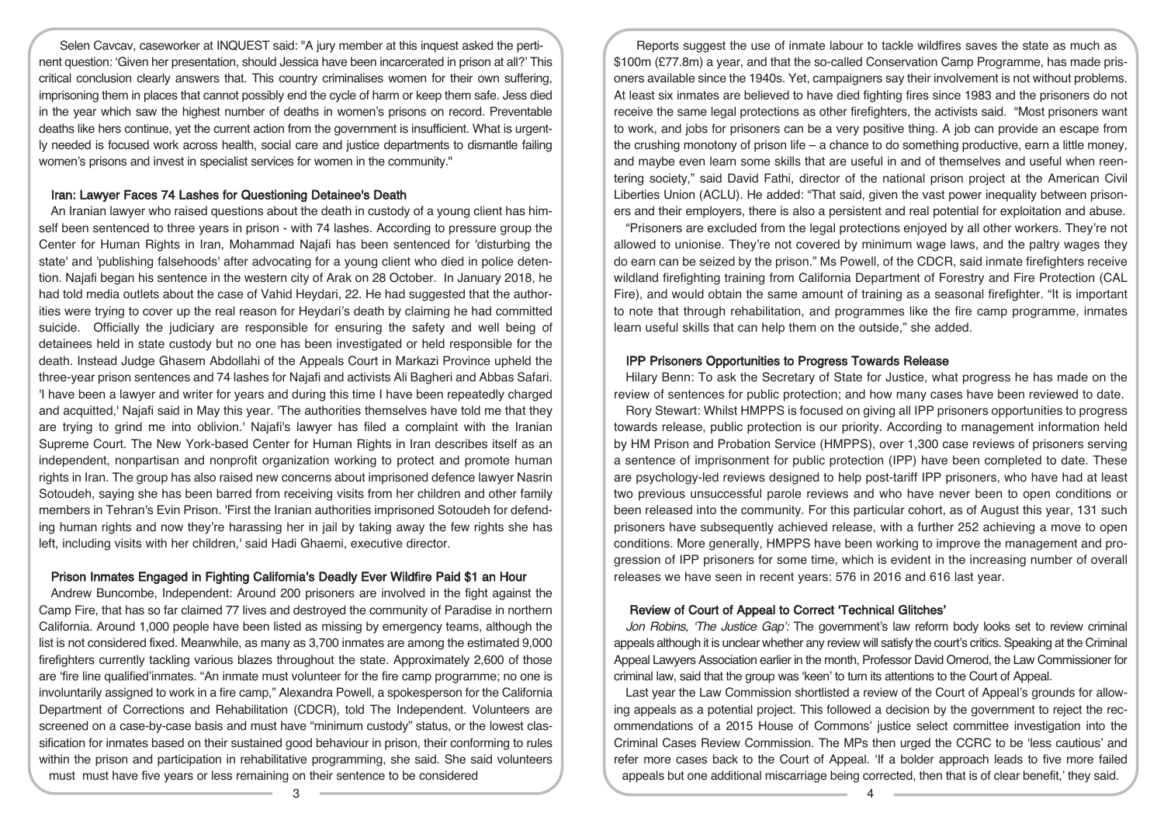Selen Cavcav, caseworker at INQUEST said: "A jury member at this inquest asked the pertinent question: 'Given her presentation, should Jessica have been incarcerated in prison at all?' This critical conclusion clearly answers that. This country criminalises women for their own suffering, imprisoning them in places that cannot possibly end the cycle of harm or keep them safe. Jess died in the year which saw the highest number of deaths in women's prisons on record. Preventable deaths like hers continue, yet the current action from the government is insufficient. What is urgently needed is focused work across health, social care and justice departments to dismantle failing women's prisons and invest in specialist services for women in the community."

### Iran: Lawyer Faces 74 Lashes for Questioning Detainee's Death

An Iranian lawyer who raised questions about the death in custody of a young client has himself been sentenced to three years in prison - with 74 lashes. According to pressure group the Center for Human Rights in Iran, Mohammad Najafi has been sentenced for 'disturbing the state' and 'publishing falsehoods' after advocating for a young client who died in police detention. Najafi began his sentence in the western city of Arak on 28 October. In January 2018, he had told media outlets about the case of Vahid Heydari, 22. He had suggested that the authorities were trying to cover up the real reason for Heydari's death by claiming he had committed suicide. Officially the judiciary are responsible for ensuring the safety and well being of detainees held in state custody but no one has been investigated or held responsible for the death. Instead Judge Ghasem Abdollahi of the Appeals Court in Markazi Province upheld the three-year prison sentences and 74 lashes for Najafi and activists Ali Bagheri and Abbas Safari. 'I have been a lawyer and writer for years and during this time I have been repeatedly charged and acquitted,' Najafi said in May this year. 'The authorities themselves have told me that they are trying to grind me into oblivion.' Najafi's lawyer has filed a complaint with the Iranian Supreme Court. The New York-based Center for Human Rights in Iran describes itself as an independent, nonpartisan and nonprofit organization working to protect and promote human rights in Iran. The group has also raised new concerns about imprisoned defence lawyer Nasrin Sotoudeh, saying she has been barred from receiving visits from her children and other family members in Tehran's Evin Prison. 'First the Iranian authorities imprisoned Sotoudeh for defending human rights and now they're harassing her in jail by taking away the few rights she has left, including visits with her children,' said Hadi Ghaemi, executive director.

### Prison Inmates Engaged in Fighting California's Deadly Ever Wildfire Paid \$1 an Hour

Andrew Buncombe, Independent: Around 200 prisoners are involved in the fight against the Camp Fire, that has so far claimed 77 lives and destroyed the community of Paradise in northern California. Around 1,000 people have been listed as missing by emergency teams, although the list is not considered fixed. Meanwhile, as many as 3,700 inmates are among the estimated 9,000 firefighters currently tackling various blazes throughout the state. Approximately 2,600 of those are 'fire line qualified'inmates. "An inmate must volunteer for the fire camp programme; no one is involuntarily assigned to work in a fire camp," Alexandra Powell, a spokesperson for the California Department of Corrections and Rehabilitation (CDCR), told The Independent. Volunteers are screened on a case-by-case basis and must have "minimum custody" status, or the lowest classification for inmates based on their sustained good behaviour in prison, their conforming to rules within the prison and participation in rehabilitative programming, she said. She said volunteers must must have five years or less remaining on their sentence to be considered

Reports suggest the use of inmate labour to tackle wildfires saves the state as much as \$100m (£77.8m) a year, and that the so-called Conservation Camp Programme, has made prisoners available since the 1940s. Yet, campaigners say their involvement is not without problems. At least six inmates are believed to have died fighting fires since 1983 and the prisoners do not receive the same legal protections as other firefighters, the activists said. "Most prisoners want to work, and jobs for prisoners can be a very positive thing. A job can provide an escape from the crushing monotony of prison life – a chance to do something productive, earn a little money, and maybe even learn some skills that are useful in and of themselves and useful when reentering society," said David Fathi, director of the national prison project at the American Civil Liberties Union (ACLU). He added: "That said, given the vast power inequality between prisoners and their employers, there is also a persistent and real potential for exploitation and abuse.

"Prisoners are excluded from the legal protections enjoyed by all other workers. They're not allowed to unionise. They're not covered by minimum wage laws, and the paltry wages they do earn can be seized by the prison." Ms Powell, of the CDCR, said inmate firefighters receive wildland firefighting training from California Department of Forestry and Fire Protection (CAL Fire), and would obtain the same amount of training as a seasonal firefighter. "It is important to note that through rehabilitation, and programmes like the fire camp programme, inmates learn useful skills that can help them on the outside," she added.

# IPP Prisoners Opportunities to Progress Towards Release

Hilary Benn: To ask the Secretary of State for Justice, what progress he has made on the review of sentences for public protection; and how many cases have been reviewed to date.

Rory Stewart: Whilst HMPPS is focused on giving all IPP prisoners opportunities to progress towards release, public protection is our priority. According to management information held by HM Prison and Probation Service (HMPPS), over 1,300 case reviews of prisoners serving a sentence of imprisonment for public protection (IPP) have been completed to date. These are psychology-led reviews designed to help post-tariff IPP prisoners, who have had at least two previous unsuccessful parole reviews and who have never been to open conditions or been released into the community. For this particular cohort, as of August this year, 131 such prisoners have subsequently achieved release, with a further 252 achieving a move to open conditions. More generally, HMPPS have been working to improve the management and progression of IPP prisoners for some time, which is evident in the increasing number of overall releases we have seen in recent years: 576 in 2016 and 616 last year.

# Review of Court of Appeal to Correct 'Technical Glitches'

Jon Robins, 'The Justice Gap': The government's law reform body looks set to review criminal appeals although it is unclear whether any review will satisfy the court's critics. Speaking at the Criminal Appeal Lawyers Association earlier in the month, Professor David Omerod, the Law Commissioner for criminal law, said that the group was 'keen' to turn its attentions to the Court of Appeal.

Last year the Law Commission shortlisted a review of the Court of Appeal's grounds for allowing appeals as a potential project. This followed a decision by the government to reject the recommendations of a 2015 House of Commons' justice select committee investigation into the Criminal Cases Review Commission. The MPs then urged the CCRC to be 'less cautious' and refer more cases back to the Court of Appeal. 'If a bolder approach leads to five more failed appeals but one additional miscarriage being corrected, then that is of clear benefit,' they said.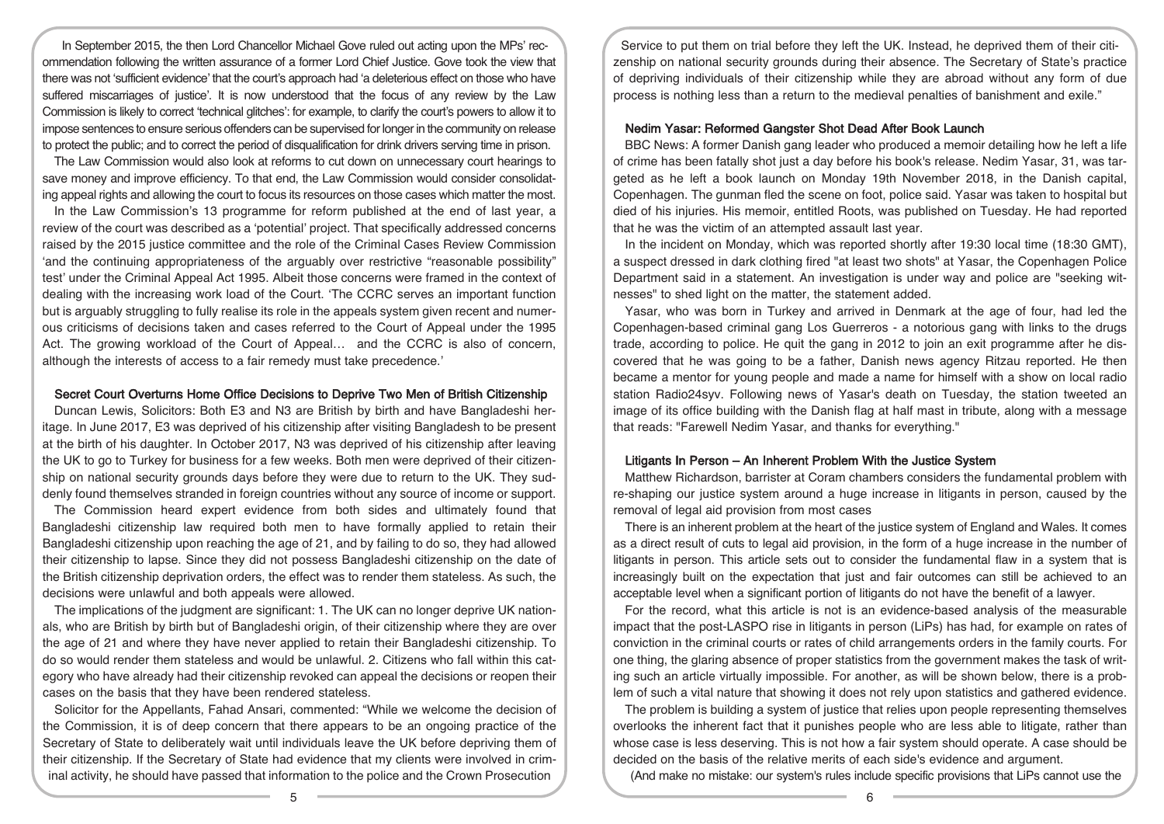In September 2015, the then Lord Chancellor Michael Gove ruled out acting upon the MPs' recommendation following the written assurance of a former Lord Chief Justice. Gove took the view that there was not 'sufficient evidence' that the court's approach had 'a deleterious effect on those who have suffered miscarriages of justice'. It is now understood that the focus of any review by the Law Commission is likely to correct 'technical glitches': for example, to clarify the court's powers to allow it to impose sentences to ensure serious offenders can be supervised forlongerin the community on release to protect the public; and to correct the period of disqualification for drink drivers serving time in prison.

The Law Commission would also look at reforms to cut down on unnecessary court hearings to save money and improve efficiency. To that end, the Law Commission would consider consolidating appeal rights and allowing the court to focus its resources on those cases which matter the most.

In the Law Commission's 13 programme for reform published at the end of last year, a review of the court was described as a 'potential' project. That specifically addressed concerns raised by the 2015 justice committee and the role of the Criminal Cases Review Commission 'and the continuing appropriateness of the arguably over restrictive "reasonable possibility" test' under the Criminal Appeal Act 1995. Albeit those concerns were framed in the context of dealing with the increasing work load of the Court. 'The CCRC serves an important function but is arguably struggling to fully realise its role in the appeals system given recent and numerous criticisms of decisions taken and cases referred to the Court of Appeal under the 1995 Act. The growing workload of the Court of Appeal… and the CCRC is also of concern, although the interests of access to a fair remedy must take precedence.'

### Secret Court Overturns Home Office Decisions to Deprive Two Men of British Citizenship

Duncan Lewis, Solicitors: Both E3 and N3 are British by birth and have Bangladeshi heritage. In June 2017, E3 was deprived of his citizenship after visiting Bangladesh to be present at the birth of his daughter. In October 2017, N3 was deprived of his citizenship after leaving the UK to go to Turkey for business for a few weeks. Both men were deprived of their citizenship on national security grounds days before they were due to return to the UK. They suddenly found themselves stranded in foreign countries without any source of income or support.

The Commission heard expert evidence from both sides and ultimately found that Bangladeshi citizenship law required both men to have formally applied to retain their Bangladeshi citizenship upon reaching the age of 21, and by failing to do so, they had allowed their citizenship to lapse. Since they did not possess Bangladeshi citizenship on the date of the British citizenship deprivation orders, the effect was to render them stateless. As such, the decisions were unlawful and both appeals were allowed.

The implications of the judgment are significant: 1. The UK can no longer deprive UK nationals, who are British by birth but of Bangladeshi origin, of their citizenship where they are over the age of 21 and where they have never applied to retain their Bangladeshi citizenship. To do so would render them stateless and would be unlawful. 2. Citizens who fall within this category who have already had their citizenship revoked can appeal the decisions or reopen their cases on the basis that they have been rendered stateless.

Solicitor for the Appellants, Fahad Ansari, commented: "While we welcome the decision of the Commission, it is of deep concern that there appears to be an ongoing practice of the Secretary of State to deliberately wait until individuals leave the UK before depriving them of their citizenship. If the Secretary of State had evidence that my clients were involved in criminal activity, he should have passed that information to the police and the Crown Prosecution

Service to put them on trial before they left the UK. Instead, he deprived them of their citizenship on national security grounds during their absence. The Secretary of State's practice of depriving individuals of their citizenship while they are abroad without any form of due process is nothing less than a return to the medieval penalties of banishment and exile."

### Nedim Yasar: Reformed Gangster Shot Dead After Book Launch

BBC News: A former Danish gang leader who produced a memoir detailing how he left a life of crime has been fatally shot just a day before his book's release. Nedim Yasar, 31, was targeted as he left a book launch on Monday 19th November 2018, in the Danish capital, Copenhagen. The gunman fled the scene on foot, police said. Yasar was taken to hospital but died of his injuries. His memoir, entitled Roots, was published on Tuesday. He had reported that he was the victim of an attempted assault last year.

In the incident on Monday, which was reported shortly after 19:30 local time (18:30 GMT), a suspect dressed in dark clothing fired "at least two shots" at Yasar, the Copenhagen Police Department said in a statement. An investigation is under way and police are "seeking witnesses" to shed light on the matter, the statement added.

Yasar, who was born in Turkey and arrived in Denmark at the age of four, had led the Copenhagen-based criminal gang Los Guerreros - a notorious gang with links to the drugs trade, according to police. He quit the gang in 2012 to join an exit programme after he discovered that he was going to be a father, Danish news agency Ritzau reported. He then became a mentor for young people and made a name for himself with a show on local radio station Radio24syv. Following news of Yasar's death on Tuesday, the station tweeted an image of its office building with the Danish flag at half mast in tribute, along with a message that reads: "Farewell Nedim Yasar, and thanks for everything."

# Litigants In Person – An Inherent Problem With the Justice System

Matthew Richardson, barrister at Coram chambers considers the fundamental problem with re-shaping our justice system around a huge increase in litigants in person, caused by the removal of legal aid provision from most cases

There is an inherent problem at the heart of the justice system of England and Wales. It comes as a direct result of cuts to legal aid provision, in the form of a huge increase in the number of litigants in person. This article sets out to consider the fundamental flaw in a system that is increasingly built on the expectation that just and fair outcomes can still be achieved to an acceptable level when a significant portion of litigants do not have the benefit of a lawyer.

For the record, what this article is not is an evidence-based analysis of the measurable impact that the post-LASPO rise in litigants in person (LiPs) has had, for example on rates of conviction in the criminal courts or rates of child arrangements orders in the family courts. For one thing, the glaring absence of proper statistics from the government makes the task of writing such an article virtually impossible. For another, as will be shown below, there is a problem of such a vital nature that showing it does not rely upon statistics and gathered evidence.

The problem is building a system of justice that relies upon people representing themselves overlooks the inherent fact that it punishes people who are less able to litigate, rather than whose case is less deserving. This is not how a fair system should operate. A case should be decided on the basis of the relative merits of each side's evidence and argument.

(And make no mistake: our system's rules include specific provisions that LiPs cannot use the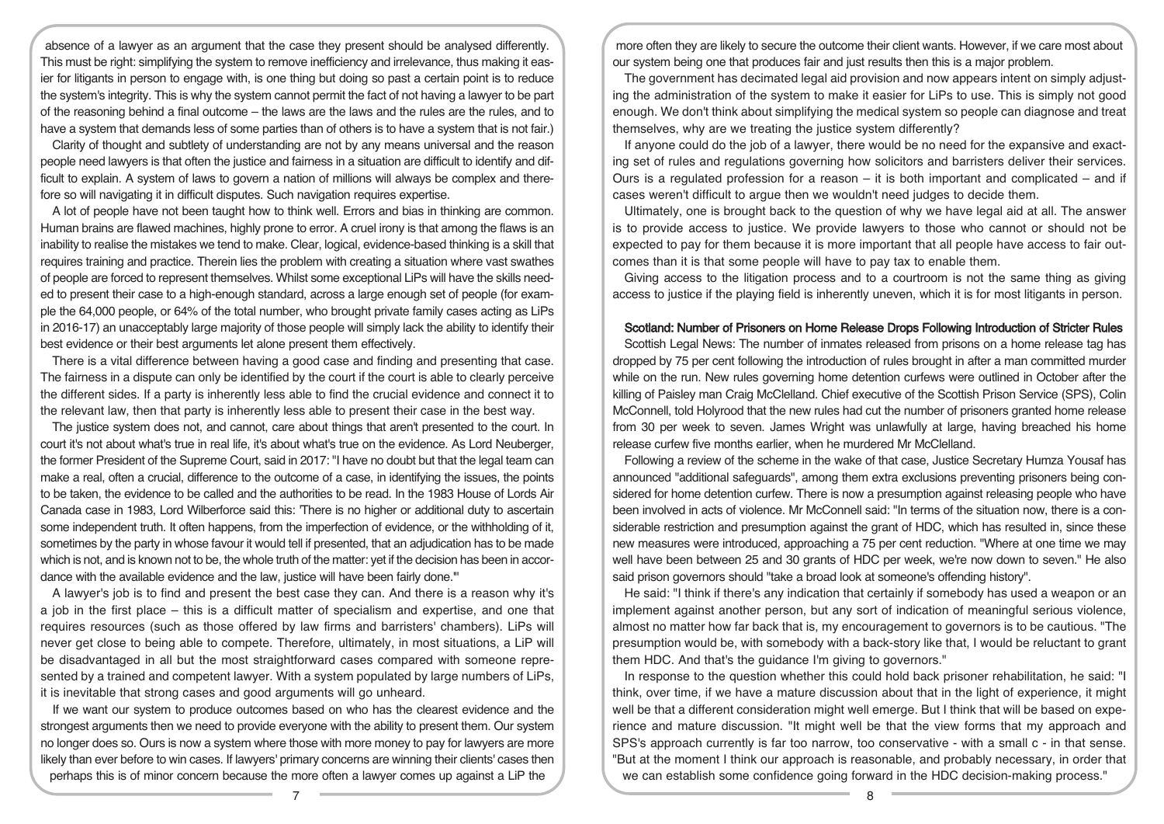absence of a lawyer as an argument that the case they present should be analysed differently. This must be right: simplifying the system to remove inefficiency and irrelevance, thus making it easier for litigants in person to engage with, is one thing but doing so past a certain point is to reduce the system's integrity. This is why the system cannot permit the fact of not having a lawyer to be part of the reasoning behind a final outcome – the laws are the laws and the rules are the rules, and to have a system that demands less of some parties than of others is to have a system that is not fair.)

Clarity of thought and subtlety of understanding are not by any means universal and the reason people need lawyers is that often the justice and fairness in a situation are difficult to identify and difficult to explain. A system of laws to govern a nation of millions will always be complex and therefore so will navigating it in difficult disputes. Such navigation requires expertise.

A lot of people have not been taught how to think well. Errors and bias in thinking are common. Human brains are flawed machines, highly prone to error. A cruel irony is that among the flaws is an inability to realise the mistakes we tend to make. Clear, logical, evidence-based thinking is a skill that requires training and practice. Therein lies the problem with creating a situation where vast swathes of people are forced to represent themselves. Whilst some exceptional LiPs will have the skills needed to present their case to a high-enough standard, across a large enough set of people (for example the 64,000 people, or 64% of the total number, who brought private family cases acting as LiPs in 2016-17) an unacceptably large majority of those people will simply lack the ability to identify their best evidence or their best arguments let alone present them effectively.

There is a vital difference between having a good case and finding and presenting that case. The fairness in a dispute can only be identified by the court if the court is able to clearly perceive the different sides. If a party is inherently less able to find the crucial evidence and connect it to the relevant law, then that party is inherently less able to present their case in the best way.

The justice system does not, and cannot, care about things that aren't presented to the court. In court it's not about what's true in real life, it's about what's true on the evidence. As Lord Neuberger, the former President of the Supreme Court, said in 2017: "I have no doubt but that the legal team can make a real, often a crucial, difference to the outcome of a case, in identifying the issues, the points to be taken, the evidence to be called and the authorities to be read. In the 1983 House of Lords Air Canada case in 1983, Lord Wilberforce said this: 'There is no higher or additional duty to ascertain some independent truth. It often happens, from the imperfection of evidence, or the withholding of it, sometimes by the party in whose favour it would tell if presented, that an adjudication has to be made which is not, and is known not to be, the whole truth of the matter: yet if the decision has been in accordance with the available evidence and the law, justice will have been fairly done.'"

A lawyer's job is to find and present the best case they can. And there is a reason why it's a job in the first place – this is a difficult matter of specialism and expertise, and one that requires resources (such as those offered by law firms and barristers' chambers). LiPs will never get close to being able to compete. Therefore, ultimately, in most situations, a LiP will be disadvantaged in all but the most straightforward cases compared with someone represented by a trained and competent lawyer. With a system populated by large numbers of LiPs, it is inevitable that strong cases and good arguments will go unheard.

If we want our system to produce outcomes based on who has the clearest evidence and the strongest arguments then we need to provide everyone with the ability to present them. Our system no longer does so. Ours is now a system where those with more money to pay for lawyers are more likely than ever before to win cases. If lawyers' primary concerns are winning their clients' cases then perhaps this is of minor concern because the more often a lawyer comes up against a LiP the

more often they are likely to secure the outcome their client wants. However, if we care most about our system being one that produces fair and just results then this is a major problem.

The government has decimated legal aid provision and now appears intent on simply adjusting the administration of the system to make it easier for LiPs to use. This is simply not good enough. We don't think about simplifying the medical system so people can diagnose and treat themselves, why are we treating the justice system differently?

If anyone could do the job of a lawyer, there would be no need for the expansive and exacting set of rules and regulations governing how solicitors and barristers deliver their services. Ours is a regulated profession for a reason  $-$  it is both important and complicated  $-$  and if cases weren't difficult to argue then we wouldn't need judges to decide them.

Ultimately, one is brought back to the question of why we have legal aid at all. The answer is to provide access to justice. We provide lawyers to those who cannot or should not be expected to pay for them because it is more important that all people have access to fair outcomes than it is that some people will have to pay tax to enable them.

Giving access to the litigation process and to a courtroom is not the same thing as giving access to justice if the playing field is inherently uneven, which it is for most litigants in person.

### Scotland: Number of Prisoners on Home Release Drops Following Introduction of Stricter Rules

Scottish Legal News: The number of inmates released from prisons on a home release tag has dropped by 75 per cent following the introduction of rules brought in after a man committed murder while on the run. New rules governing home detention curfews were outlined in October after the killing of Paisley man Craig McClelland. Chief executive of the Scottish Prison Service (SPS), Colin McConnell, told Holyrood that the new rules had cut the number of prisoners granted home release from 30 per week to seven. James Wright was unlawfully at large, having breached his home release curfew five months earlier, when he murdered Mr McClelland.

Following a review of the scheme in the wake of that case, Justice Secretary Humza Yousaf has announced "additional safeguards", among them extra exclusions preventing prisoners being considered for home detention curfew. There is now a presumption against releasing people who have been involved in acts of violence. Mr McConnell said: "In terms of the situation now, there is a considerable restriction and presumption against the grant of HDC, which has resulted in, since these new measures were introduced, approaching a 75 per cent reduction. "Where at one time we may well have been between 25 and 30 grants of HDC per week, we're now down to seven." He also said prison governors should "take a broad look at someone's offending history".

He said: "I think if there's any indication that certainly if somebody has used a weapon or an implement against another person, but any sort of indication of meaningful serious violence, almost no matter how far back that is, my encouragement to governors is to be cautious. "The presumption would be, with somebody with a back-story like that, I would be reluctant to grant them HDC. And that's the guidance I'm giving to governors."

In response to the question whether this could hold back prisoner rehabilitation, he said: "I think, over time, if we have a mature discussion about that in the light of experience, it might well be that a different consideration might well emerge. But I think that will be based on experience and mature discussion. "It might well be that the view forms that my approach and SPS's approach currently is far too narrow, too conservative - with a small c - in that sense. "But at the moment I think our approach is reasonable, and probably necessary, in order that we can establish some confidence going forward in the HDC decision-making process."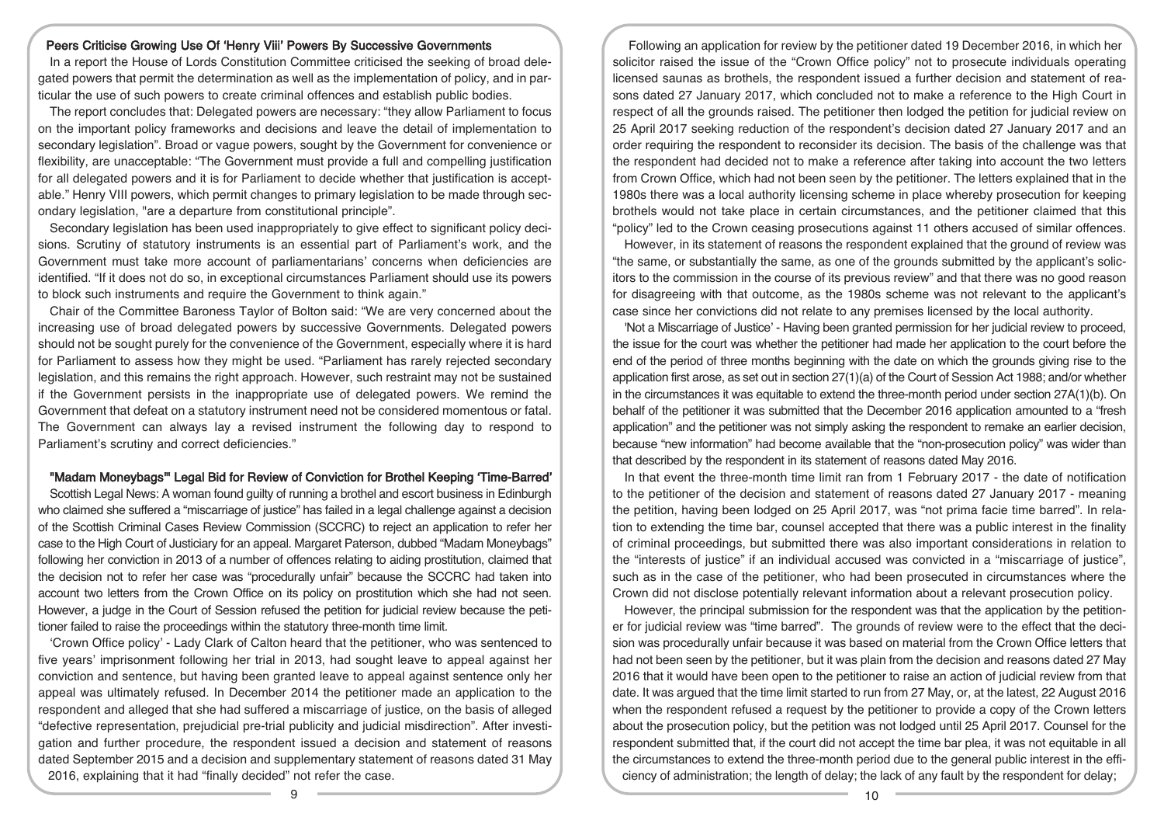### Peers Criticise Growing Use Of 'Henry Viii' Powers By Successive Governments

In a report the House of Lords Constitution Committee criticised the seeking of broad delegated powers that permit the determination as well as the implementation of policy, and in particular the use of such powers to create criminal offences and establish public bodies.

The report concludes that: Delegated powers are necessary: "they allow Parliament to focus on the important policy frameworks and decisions and leave the detail of implementation to secondary legislation". Broad or vague powers, sought by the Government for convenience or flexibility, are unacceptable: "The Government must provide a full and compelling justification for all delegated powers and it is for Parliament to decide whether that justification is acceptable." Henry VIII powers, which permit changes to primary legislation to be made through secondary legislation, "are a departure from constitutional principle".

Secondary legislation has been used inappropriately to give effect to significant policy decisions. Scrutiny of statutory instruments is an essential part of Parliament's work, and the Government must take more account of parliamentarians' concerns when deficiencies are identified. "If it does not do so, in exceptional circumstances Parliament should use its powers to block such instruments and require the Government to think again."

Chair of the Committee Baroness Taylor of Bolton said: "We are very concerned about the increasing use of broad delegated powers by successive Governments. Delegated powers should not be sought purely for the convenience of the Government, especially where it is hard for Parliament to assess how they might be used. "Parliament has rarely rejected secondary legislation, and this remains the right approach. However, such restraint may not be sustained if the Government persists in the inappropriate use of delegated powers. We remind the Government that defeat on a statutory instrument need not be considered momentous or fatal. The Government can always lay a revised instrument the following day to respond to Parliament's scrutiny and correct deficiencies."

#### "Madam Moneybags'" Legal Bid for Review of Conviction for Brothel Keeping 'Time-Barred'

Scottish Legal News: A woman found guilty of running a brothel and escort business in Edinburgh who claimed she suffered a "miscarriage of justice" has failed in a legal challenge against a decision of the Scottish Criminal Cases Review Commission (SCCRC) to reject an application to refer her case to the High Court of Justiciary for an appeal. Margaret Paterson, dubbed "Madam Moneybags" following her conviction in 2013 of a number of offences relating to aiding prostitution, claimed that the decision not to refer her case was "procedurally unfair" because the SCCRC had taken into account two letters from the Crown Office on its policy on prostitution which she had not seen. However, a judge in the Court of Session refused the petition for judicial review because the petitioner failed to raise the proceedings within the statutory three-month time limit.

'Crown Office policy' - Lady Clark of Calton heard that the petitioner, who was sentenced to five years' imprisonment following her trial in 2013, had sought leave to appeal against her conviction and sentence, but having been granted leave to appeal against sentence only her appeal was ultimately refused. In December 2014 the petitioner made an application to the respondent and alleged that she had suffered a miscarriage of justice, on the basis of alleged "defective representation, prejudicial pre-trial publicity and judicial misdirection". After investigation and further procedure, the respondent issued a decision and statement of reasons dated September 2015 and a decision and supplementary statement of reasons dated 31 May 2016, explaining that it had "finally decided" not refer the case.

Following an application for review by the petitioner dated 19 December 2016, in which her solicitor raised the issue of the "Crown Office policy" not to prosecute individuals operating licensed saunas as brothels, the respondent issued a further decision and statement of reasons dated 27 January 2017, which concluded not to make a reference to the High Court in respect of all the grounds raised. The petitioner then lodged the petition for judicial review on 25 April 2017 seeking reduction of the respondent's decision dated 27 January 2017 and an order requiring the respondent to reconsider its decision. The basis of the challenge was that the respondent had decided not to make a reference after taking into account the two letters from Crown Office, which had not been seen by the petitioner. The letters explained that in the 1980s there was a local authority licensing scheme in place whereby prosecution for keeping brothels would not take place in certain circumstances, and the petitioner claimed that this "policy" led to the Crown ceasing prosecutions against 11 others accused of similar offences.

However, in its statement of reasons the respondent explained that the ground of review was "the same, or substantially the same, as one of the grounds submitted by the applicant's solicitors to the commission in the course of its previous review" and that there was no good reason for disagreeing with that outcome, as the 1980s scheme was not relevant to the applicant's case since her convictions did not relate to any premises licensed by the local authority.

'Not a Miscarriage of Justice' - Having been granted permission for her judicial review to proceed, the issue for the court was whether the petitioner had made her application to the court before the end of the period of three months beginning with the date on which the grounds giving rise to the application first arose, as set out in section 27(1)(a) of the Court of Session Act 1988; and/or whether in the circumstances it was equitable to extend the three-month period under section 27A(1)(b). On behalf of the petitioner it was submitted that the December 2016 application amounted to a "fresh application" and the petitioner was not simply asking the respondent to remake an earlier decision, because "new information" had become available that the "non-prosecution policy" was wider than that described by the respondent in its statement of reasons dated May 2016.

In that event the three-month time limit ran from 1 February 2017 - the date of notification to the petitioner of the decision and statement of reasons dated 27 January 2017 - meaning the petition, having been lodged on 25 April 2017, was "not prima facie time barred". In relation to extending the time bar, counsel accepted that there was a public interest in the finality of criminal proceedings, but submitted there was also important considerations in relation to the "interests of justice" if an individual accused was convicted in a "miscarriage of justice", such as in the case of the petitioner, who had been prosecuted in circumstances where the Crown did not disclose potentially relevant information about a relevant prosecution policy.

However, the principal submission for the respondent was that the application by the petitioner for judicial review was "time barred". The grounds of review were to the effect that the decision was procedurally unfair because it was based on material from the Crown Office letters that had not been seen by the petitioner, but it was plain from the decision and reasons dated 27 May 2016 that it would have been open to the petitioner to raise an action of judicial review from that date. It was argued that the time limit started to run from 27 May, or, at the latest, 22 August 2016 when the respondent refused a request by the petitioner to provide a copy of the Crown letters about the prosecution policy, but the petition was not lodged until 25 April 2017. Counsel for the respondent submitted that, if the court did not accept the time bar plea, it was not equitable in all the circumstances to extend the three-month period due to the general public interest in the efficiency of administration; the length of delay; the lack of any fault by the respondent for delay;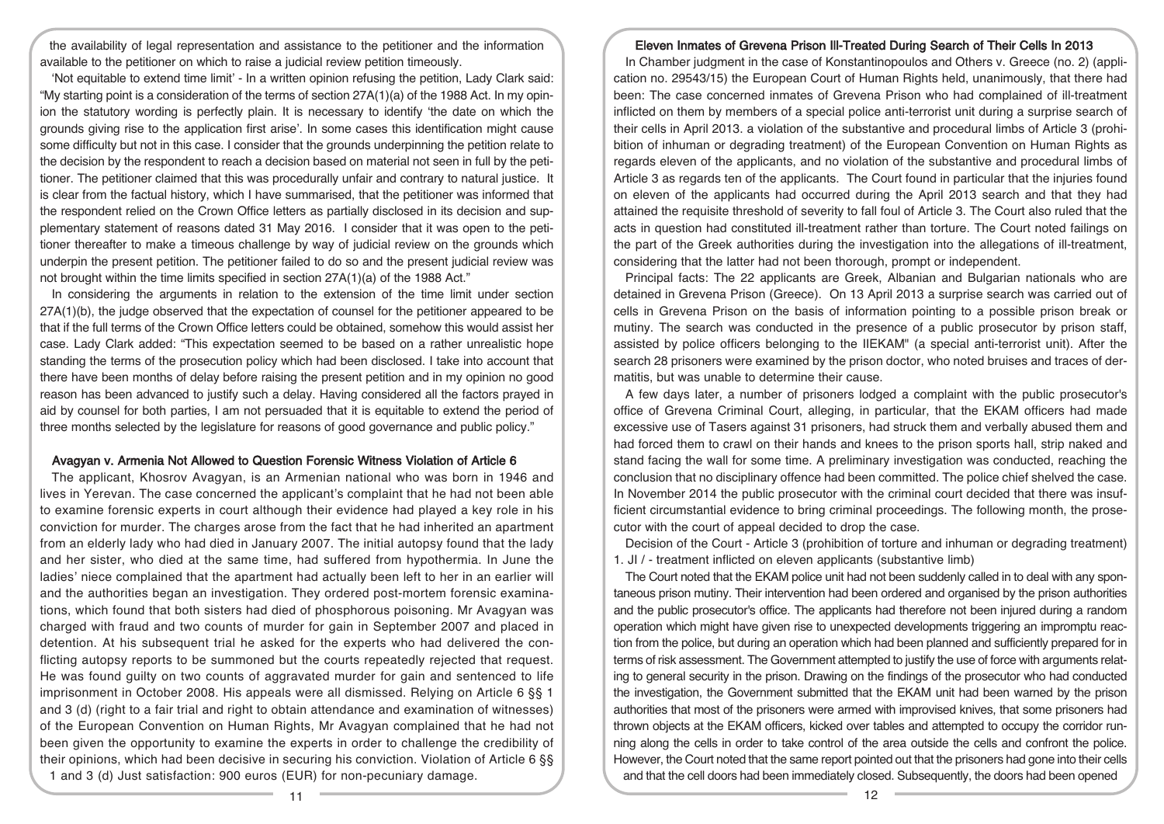the availability of legal representation and assistance to the petitioner and the information available to the petitioner on which to raise a judicial review petition timeously.

'Not equitable to extend time limit' - In a written opinion refusing the petition, Lady Clark said: "My starting point is a consideration of the terms of section 27A(1)(a) of the 1988 Act. In my opinion the statutory wording is perfectly plain. It is necessary to identify 'the date on which the grounds giving rise to the application first arise'. In some cases this identification might cause some difficulty but not in this case. I consider that the grounds underpinning the petition relate to the decision by the respondent to reach a decision based on material not seen in full by the petitioner. The petitioner claimed that this was procedurally unfair and contrary to natural justice. It is clear from the factual history, which I have summarised, that the petitioner was informed that the respondent relied on the Crown Office letters as partially disclosed in its decision and supplementary statement of reasons dated 31 May 2016. I consider that it was open to the petitioner thereafter to make a timeous challenge by way of judicial review on the grounds which underpin the present petition. The petitioner failed to do so and the present judicial review was not brought within the time limits specified in section 27A(1)(a) of the 1988 Act."

In considering the arguments in relation to the extension of the time limit under section 27A(1)(b), the judge observed that the expectation of counsel for the petitioner appeared to be that if the full terms of the Crown Office letters could be obtained, somehow this would assist her case. Lady Clark added: "This expectation seemed to be based on a rather unrealistic hope standing the terms of the prosecution policy which had been disclosed. I take into account that there have been months of delay before raising the present petition and in my opinion no good reason has been advanced to justify such a delay. Having considered all the factors prayed in aid by counsel for both parties, I am not persuaded that it is equitable to extend the period of three months selected by the legislature for reasons of good governance and public policy."

### Avagyan v. Armenia Not Allowed to Question Forensic Witness Violation of Article 6

The applicant, Khosrov Avagyan, is an Armenian national who was born in 1946 and lives in Yerevan. The case concerned the applicant's complaint that he had not been able to examine forensic experts in court although their evidence had played a key role in his conviction for murder. The charges arose from the fact that he had inherited an apartment from an elderly lady who had died in January 2007. The initial autopsy found that the lady and her sister, who died at the same time, had suffered from hypothermia. In June the ladies' niece complained that the apartment had actually been left to her in an earlier will and the authorities began an investigation. They ordered post-mortem forensic examinations, which found that both sisters had died of phosphorous poisoning. Mr Avagyan was charged with fraud and two counts of murder for gain in September 2007 and placed in detention. At his subsequent trial he asked for the experts who had delivered the conflicting autopsy reports to be summoned but the courts repeatedly rejected that request. He was found guilty on two counts of aggravated murder for gain and sentenced to life imprisonment in October 2008. His appeals were all dismissed. Relying on Article 6 §§ 1 and 3 (d) (right to a fair trial and right to obtain attendance and examination of witnesses) of the European Convention on Human Rights, Mr Avagyan complained that he had not been given the opportunity to examine the experts in order to challenge the credibility of their opinions, which had been decisive in securing his conviction. Violation of Article 6 §§ 1 and 3 (d) Just satisfaction: 900 euros (EUR) for non-pecuniary damage.

### Eleven Inmates of Grevena Prison Ill-Treated During Search of Their Cells In 2013

In Chamber judgment in the case of Konstantinopoulos and Others v. Greece (no. 2) (application no. 29543/15) the European Court of Human Rights held, unanimously, that there had been: The case concerned inmates of Grevena Prison who had complained of ill-treatment inflicted on them by members of a special police anti-terrorist unit during a surprise search of their cells in April 2013. a violation of the substantive and procedural limbs of Article 3 (prohibition of inhuman or degrading treatment) of the European Convention on Human Rights as regards eleven of the applicants, and no violation of the substantive and procedural limbs of Article 3 as regards ten of the applicants. The Court found in particular that the injuries found on eleven of the applicants had occurred during the April 2013 search and that they had attained the requisite threshold of severity to fall foul of Article 3. The Court also ruled that the acts in question had constituted ill-treatment rather than torture. The Court noted failings on the part of the Greek authorities during the investigation into the allegations of ill-treatment, considering that the latter had not been thorough, prompt or independent.

Principal facts: The 22 applicants are Greek, Albanian and Bulgarian nationals who are detained in Grevena Prison (Greece). On 13 April 2013 a surprise search was carried out of cells in Grevena Prison on the basis of information pointing to a possible prison break or mutiny. The search was conducted in the presence of a public prosecutor by prison staff, assisted by police officers belonging to the IIEKAM" (a special anti-terrorist unit). After the search 28 prisoners were examined by the prison doctor, who noted bruises and traces of dermatitis, but was unable to determine their cause.

A few days later, a number of prisoners lodged a complaint with the public prosecutor's office of Grevena Criminal Court, alleging, in particular, that the EKAM officers had made excessive use of Tasers against 31 prisoners, had struck them and verbally abused them and had forced them to crawl on their hands and knees to the prison sports hall, strip naked and stand facing the wall for some time. A preliminary investigation was conducted, reaching the conclusion that no disciplinary offence had been committed. The police chief shelved the case. In November 2014 the public prosecutor with the criminal court decided that there was insufficient circumstantial evidence to bring criminal proceedings. The following month, the prosecutor with the court of appeal decided to drop the case.

Decision of the Court - Article 3 (prohibition of torture and inhuman or degrading treatment) 1. JI / - treatment inflicted on eleven applicants (substantive limb)

The Court noted that the EKAM police unit had not been suddenly called in to deal with any spontaneous prison mutiny. Their intervention had been ordered and organised by the prison authorities and the public prosecutor's office. The applicants had therefore not been injured during a random operation which might have given rise to unexpected developments triggering an impromptu reaction from the police, but during an operation which had been planned and sufficiently prepared for in terms of risk assessment. The Government attempted to justify the use of force with arguments relating to general security in the prison. Drawing on the findings of the prosecutor who had conducted the investigation, the Government submitted that the EKAM unit had been warned by the prison authorities that most of the prisoners were armed with improvised knives, that some prisoners had thrown objects at the EKAM officers, kicked over tables and attempted to occupy the corridor running along the cells in order to take control of the area outside the cells and confront the police. However, the Court noted that the same report pointed out that the prisoners had gone into their cells and that the cell doors had been immediately closed. Subsequently, the doors had been opened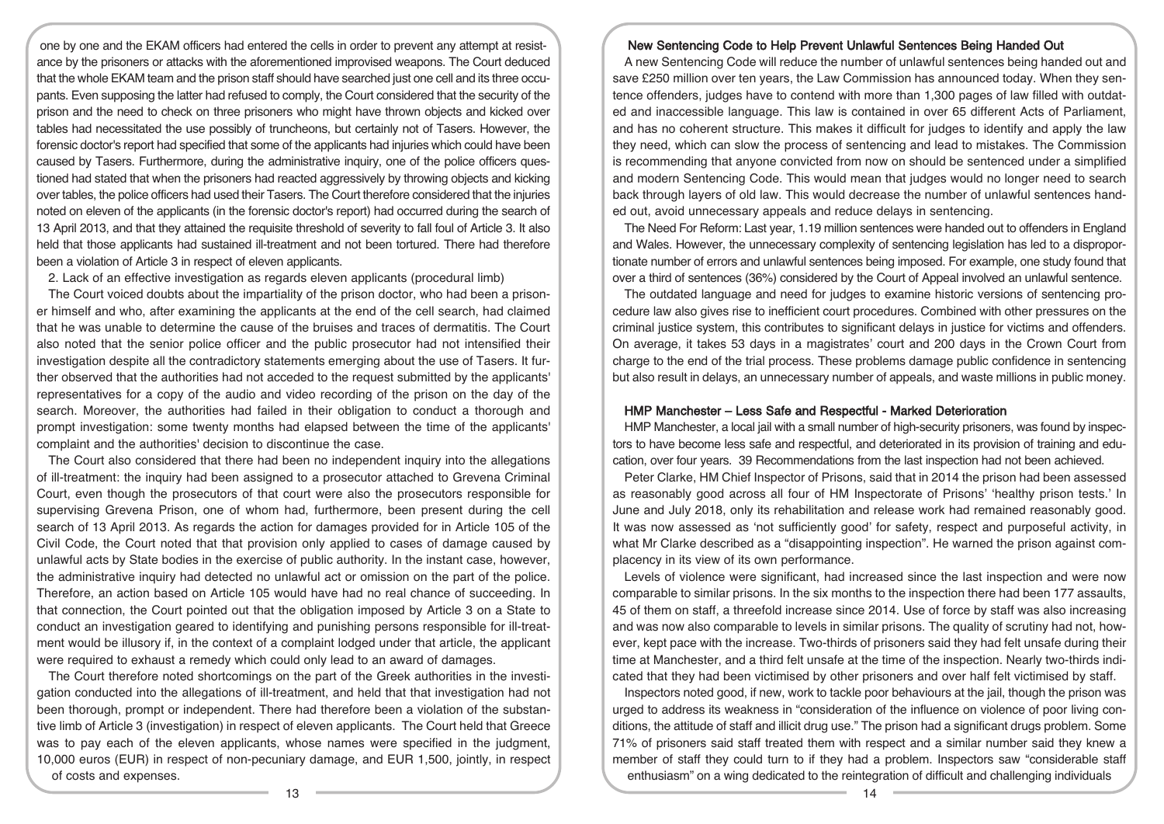one by one and the EKAM officers had entered the cells in order to prevent any attempt at resistance by the prisoners or attacks with the aforementioned improvised weapons. The Court deduced that the whole EKAM team and the prison staff should have searched just one cell and its three occupants. Even supposing the latter had refused to comply, the Court considered that the security of the prison and the need to check on three prisoners who might have thrown objects and kicked over tables had necessitated the use possibly of truncheons, but certainly not of Tasers. However, the forensic doctor's report had specified that some of the applicants had injuries which could have been caused by Tasers. Furthermore, during the administrative inquiry, one of the police officers questioned had stated that when the prisoners had reacted aggressively by throwing objects and kicking over tables, the police officers had used their Tasers. The Court therefore considered that the injuries noted on eleven of the applicants (in the forensic doctor's report) had occurred during the search of 13 April 2013, and that they attained the requisite threshold of severity to fall foul of Article 3. It also held that those applicants had sustained ill-treatment and not been tortured. There had therefore been a violation of Article 3 in respect of eleven applicants.

2. Lack of an effective investigation as regards eleven applicants (procedural limb)

The Court voiced doubts about the impartiality of the prison doctor, who had been a prisoner himself and who, after examining the applicants at the end of the cell search, had claimed that he was unable to determine the cause of the bruises and traces of dermatitis. The Court also noted that the senior police officer and the public prosecutor had not intensified their investigation despite all the contradictory statements emerging about the use of Tasers. It further observed that the authorities had not acceded to the request submitted by the applicants' representatives for a copy of the audio and video recording of the prison on the day of the search. Moreover, the authorities had failed in their obligation to conduct a thorough and prompt investigation: some twenty months had elapsed between the time of the applicants' complaint and the authorities' decision to discontinue the case.

The Court also considered that there had been no independent inquiry into the allegations of ill-treatment: the inquiry had been assigned to a prosecutor attached to Grevena Criminal Court, even though the prosecutors of that court were also the prosecutors responsible for supervising Grevena Prison, one of whom had, furthermore, been present during the cell search of 13 April 2013. As regards the action for damages provided for in Article 105 of the Civil Code, the Court noted that that provision only applied to cases of damage caused by unlawful acts by State bodies in the exercise of public authority. In the instant case, however, the administrative inquiry had detected no unlawful act or omission on the part of the police. Therefore, an action based on Article 105 would have had no real chance of succeeding. In that connection, the Court pointed out that the obligation imposed by Article 3 on a State to conduct an investigation geared to identifying and punishing persons responsible for ill-treatment would be illusory if, in the context of a complaint lodged under that article, the applicant were required to exhaust a remedy which could only lead to an award of damages.

The Court therefore noted shortcomings on the part of the Greek authorities in the investigation conducted into the allegations of ill-treatment, and held that that investigation had not been thorough, prompt or independent. There had therefore been a violation of the substantive limb of Article 3 (investigation) in respect of eleven applicants. The Court held that Greece was to pay each of the eleven applicants, whose names were specified in the judgment, 10,000 euros (EUR) in respect of non-pecuniary damage, and EUR 1,500, jointly, in respect of costs and expenses.

# New Sentencing Code to Help Prevent Unlawful Sentences Being Handed Out

A new Sentencing Code will reduce the number of unlawful sentences being handed out and save £250 million over ten years, the Law Commission has announced today. When they sentence offenders, judges have to contend with more than 1,300 pages of law filled with outdated and inaccessible language. This law is contained in over 65 different Acts of Parliament, and has no coherent structure. This makes it difficult for judges to identify and apply the law they need, which can slow the process of sentencing and lead to mistakes. The Commission is recommending that anyone convicted from now on should be sentenced under a simplified and modern Sentencing Code. This would mean that judges would no longer need to search back through layers of old law. This would decrease the number of unlawful sentences handed out, avoid unnecessary appeals and reduce delays in sentencing.

The Need For Reform: Last year, 1.19 million sentences were handed out to offenders in England and Wales. However, the unnecessary complexity of sentencing legislation has led to a disproportionate number of errors and unlawful sentences being imposed. For example, one study found that over a third of sentences (36%) considered by the Court of Appeal involved an unlawful sentence.

The outdated language and need for judges to examine historic versions of sentencing procedure law also gives rise to inefficient court procedures. Combined with other pressures on the criminal justice system, this contributes to significant delays in justice for victims and offenders. On average, it takes 53 days in a magistrates' court and 200 days in the Crown Court from charge to the end of the trial process. These problems damage public confidence in sentencing but also result in delays, an unnecessary number of appeals, and waste millions in public money.

### HMP Manchester – Less Safe and Respectful - Marked Deterioration

HMP Manchester, a local jail with a small number of high-security prisoners, was found by inspectors to have become less safe and respectful, and deteriorated in its provision of training and education, over four years. 39 Recommendations from the last inspection had not been achieved.

Peter Clarke, HM Chief Inspector of Prisons, said that in 2014 the prison had been assessed as reasonably good across all four of HM Inspectorate of Prisons' 'healthy prison tests.' In June and July 2018, only its rehabilitation and release work had remained reasonably good. It was now assessed as 'not sufficiently good' for safety, respect and purposeful activity, in what Mr Clarke described as a "disappointing inspection". He warned the prison against complacency in its view of its own performance.

Levels of violence were significant, had increased since the last inspection and were now comparable to similar prisons. In the six months to the inspection there had been 177 assaults, 45 of them on staff, a threefold increase since 2014. Use of force by staff was also increasing and was now also comparable to levels in similar prisons. The quality of scrutiny had not, however, kept pace with the increase. Two-thirds of prisoners said they had felt unsafe during their time at Manchester, and a third felt unsafe at the time of the inspection. Nearly two-thirds indicated that they had been victimised by other prisoners and over half felt victimised by staff.

Inspectors noted good, if new, work to tackle poor behaviours at the jail, though the prison was urged to address its weakness in "consideration of the influence on violence of poor living conditions, the attitude of staff and illicit drug use." The prison had a significant drugs problem. Some 71% of prisoners said staff treated them with respect and a similar number said they knew a member of staff they could turn to if they had a problem. Inspectors saw "considerable staff enthusiasm" on a wing dedicated to the reintegration of difficult and challenging individuals